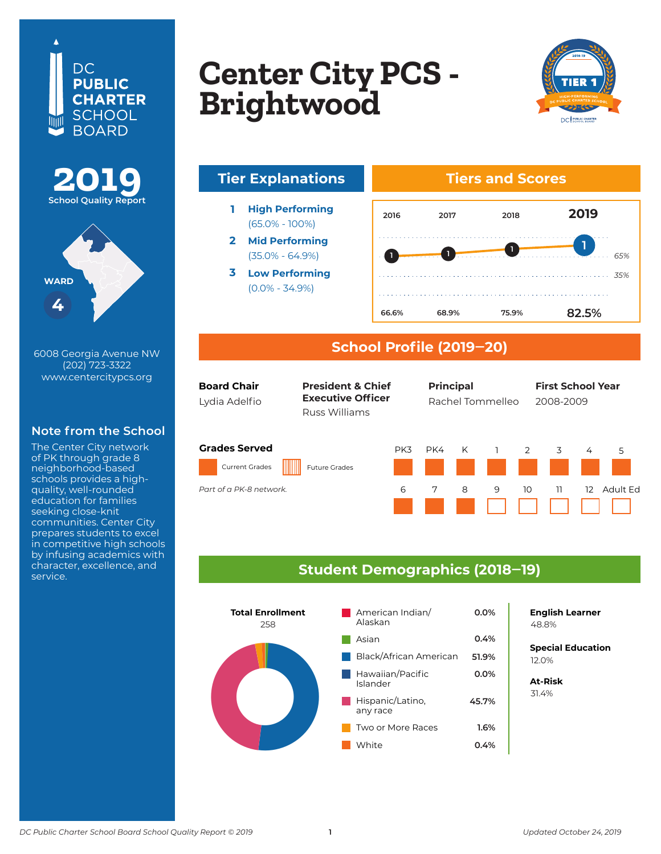





6008 Georgia Avenue NW (202) 723-3322 www.centercitypcs.org

### **Note from the School**

The Center City network of PK through grade 8 neighborhood-based schools provides a highquality, well-rounded education for families seeking close-knit communities. Center City prepares students to excel in competitive high schools by infusing academics with character, excellence, and service.

## **Copton City DCS Center CIty PCS<br>Brightwood Columbia Heights Center City PCS - Brightwood**



# **Tier Explanations Tiers and Scores**

- **1 High Performing** (65.0% - 100%)
- **2 Mid Performing** (35.0% - 64.9%)
- **3 Low Performing** (0.0% - 34.9%)



#### **School Profile (2019‒20)**

| <b>Board Chair</b> |  |  |  |  |  |  |
|--------------------|--|--|--|--|--|--|
| Lydia Adelfio      |  |  |  |  |  |  |

Russ Williams **President & Chief Executive Officer** 

**Board Chair Chief of Schools Principal First School Year First School Year** First Last First Last First Last 2007–08 Lydia Adelfi o 2008-2009 Rachel Tommelleo **Principal**

#### **Grades Served**

*Part of the K-12 DCI network Part of a PK-8 network.*

Current Grades Future Grades





#### **Student Demographics (2018‒19)**



**English Learner**

**Special Education** 6.2% 12.0%

**At-Risk** 31.4%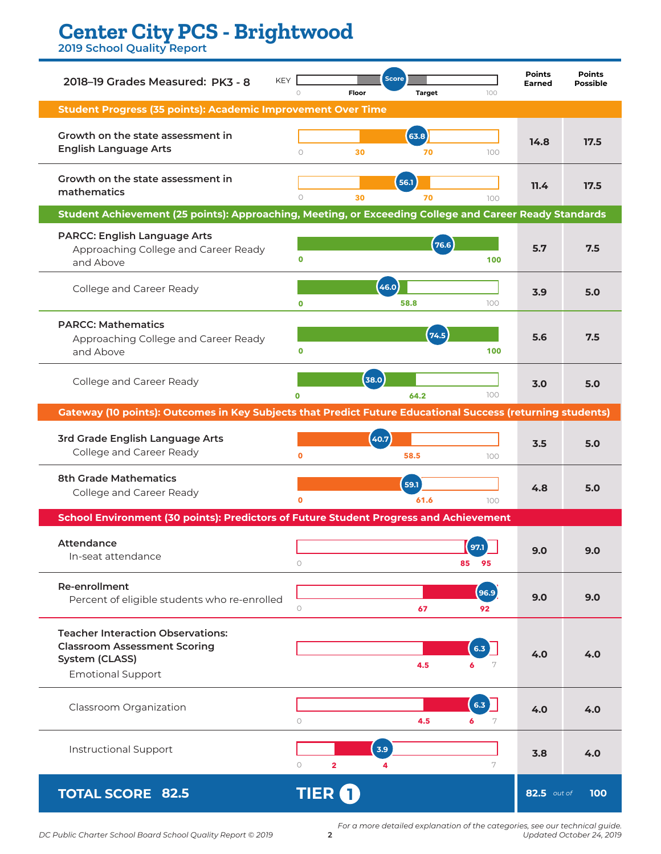## **Center City PCS - Brightwood**

**2019 School Quality Report**

| <b>KEY</b><br>2018-19 Grades Measured: PK3 - 8                                                                                | $\circ$<br>Floor                   | <b>Score</b><br><b>Target</b> | 100              | <b>Points</b><br><b>Earned</b> | <b>Points</b><br><b>Possible</b> |  |  |  |  |  |
|-------------------------------------------------------------------------------------------------------------------------------|------------------------------------|-------------------------------|------------------|--------------------------------|----------------------------------|--|--|--|--|--|
| <b>Student Progress (35 points): Academic Improvement Over Time</b>                                                           |                                    |                               |                  |                                |                                  |  |  |  |  |  |
| Growth on the state assessment in<br><b>English Language Arts</b>                                                             | $\circ$<br>30                      | (63.8)<br>70                  | 100              | 14.8                           | 17.5                             |  |  |  |  |  |
| Growth on the state assessment in<br>mathematics                                                                              | $\circ$<br>30                      | 56.1<br>70                    | 100              | 11.4                           | 17.5                             |  |  |  |  |  |
| Student Achievement (25 points): Approaching, Meeting, or Exceeding College and Career Ready Standards                        |                                    |                               |                  |                                |                                  |  |  |  |  |  |
| <b>PARCC: English Language Arts</b><br>Approaching College and Career Ready<br>and Above                                      | $\mathbf 0$                        | (76.6)                        | 100              | 5.7                            | 7.5                              |  |  |  |  |  |
| College and Career Ready                                                                                                      | $\mathbf 0$                        | (46.0)<br>58.8                | 100              | 3.9                            | 5.0                              |  |  |  |  |  |
| <b>PARCC: Mathematics</b><br>Approaching College and Career Ready<br>and Above                                                | $\mathbf 0$                        | (74.5)                        | 100              | 5.6                            | 7.5                              |  |  |  |  |  |
| College and Career Ready                                                                                                      | $\mathbf{O}$                       | 38.0<br>64.2                  | 100              | 3.0                            | 5.0                              |  |  |  |  |  |
| <b>Gateway (10 points): Outcomes in Key Subjects that Predict Future Educational Success (returning students)</b>             |                                    |                               |                  |                                |                                  |  |  |  |  |  |
| 3rd Grade English Language Arts<br>College and Career Ready                                                                   | $\mathbf{o}$                       | 40.7<br>58.5                  | 100              | 3.5                            | 5.0                              |  |  |  |  |  |
| <b>8th Grade Mathematics</b><br>College and Career Ready                                                                      | $\mathbf o$                        | 59.1<br>61.6                  | 100              | 4.8                            | 5.0                              |  |  |  |  |  |
| School Environment (30 points): Predictors of Future Student Progress and Achievement                                         |                                    |                               |                  |                                |                                  |  |  |  |  |  |
| <b>Attendance</b><br>In-seat attendance                                                                                       | $\circ$                            |                               | 97.1<br>85<br>95 | 9.0                            | 9.0                              |  |  |  |  |  |
| <b>Re-enrollment</b><br>Percent of eligible students who re-enrolled                                                          | $\circ$                            | 67                            | 96.9<br>92       | 9.0                            | 9.0                              |  |  |  |  |  |
| <b>Teacher Interaction Observations:</b><br><b>Classroom Assessment Scoring</b><br>System (CLASS)<br><b>Emotional Support</b> |                                    | 4.5                           | 6.3)<br>6<br>7   | 4.0                            | 4.0                              |  |  |  |  |  |
| Classroom Organization                                                                                                        | $\circ$                            | 4.5                           | 6.3<br>6<br>7    | 4.0                            | 4.0                              |  |  |  |  |  |
| <b>Instructional Support</b>                                                                                                  | $\circ$<br>$\overline{\mathbf{2}}$ | 3.9<br>4                      | 7                | 3.8                            | 4.0                              |  |  |  |  |  |
| <b>TOTAL SCORE 82.5</b>                                                                                                       | <b>TIER</b>                        |                               |                  | 82.5 out of                    | 100                              |  |  |  |  |  |